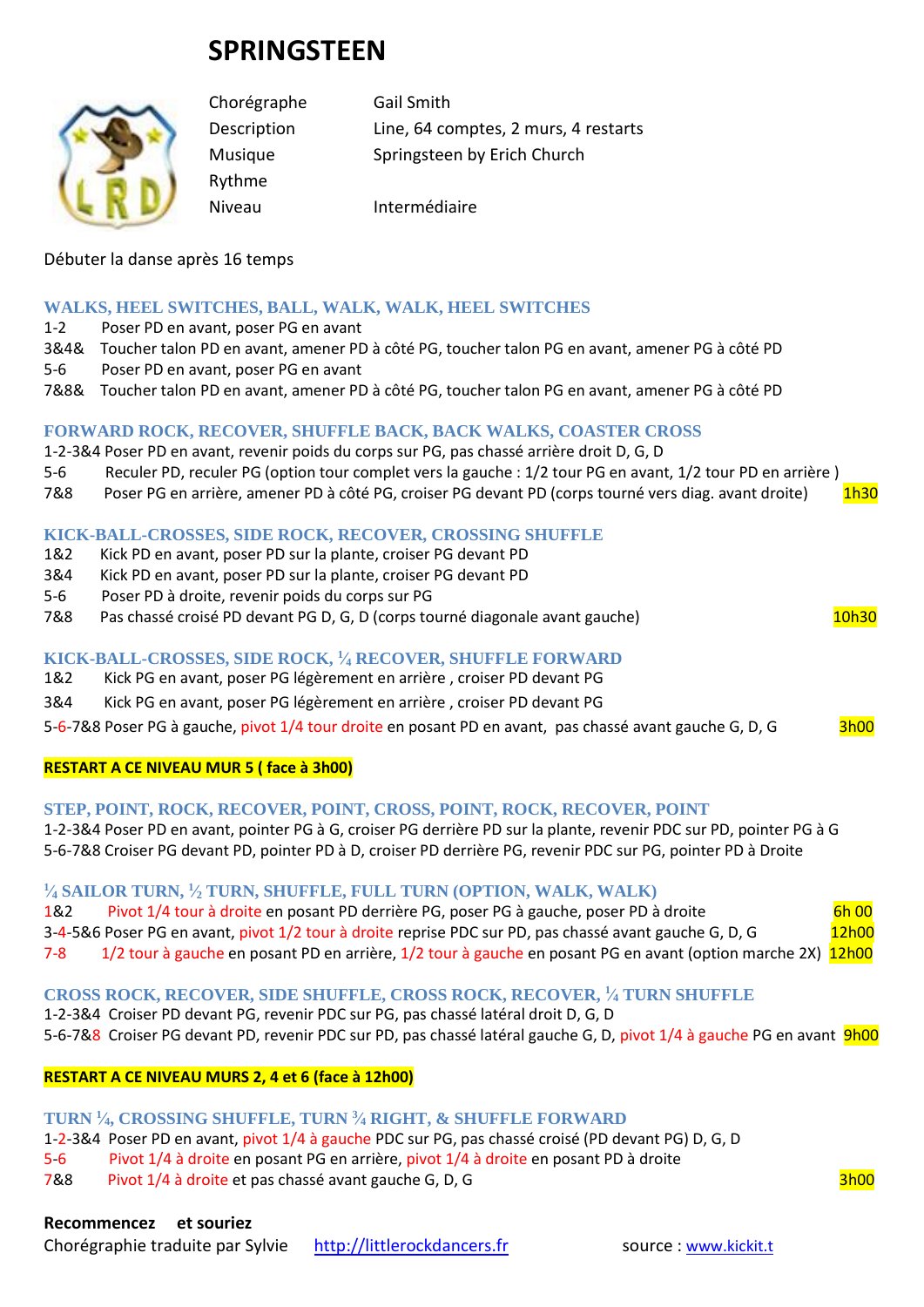# **SPRINGSTEEN**



Rythme

Chorégraphe Gail Smith Description Line, 64 comptes, 2 murs, 4 restarts Musique Springsteen by Erich Church

Niveau Intermédiaire

## Débuter la danse après 16 temps

## **WALKS, HEEL SWITCHES, BALL, WALK, WALK, HEEL SWITCHES**

1-2 Poser PD en avant, poser PG en avant

- 3&4& Toucher talon PD en avant, amener PD à côté PG, toucher talon PG en avant, amener PG à côté PD
- 5-6 Poser PD en avant, poser PG en avant
- 7&8& Toucher talon PD en avant, amener PD à côté PG, toucher talon PG en avant, amener PG à côté PD

#### **FORWARD ROCK, RECOVER, SHUFFLE BACK, BACK WALKS, COASTER CROSS**

- 1-2-3&4 Poser PD en avant, revenir poids du corps sur PG, pas chassé arrière droit D, G, D
- 5-6 Reculer PD, reculer PG (option tour complet vers la gauche : 1/2 tour PG en avant, 1/2 tour PD en arrière )
- 7&8 Poser PG en arrière, amener PD à côté PG, croiser PG devant PD (corps tourné vers diag. avant droite) 1h30

#### **KICK-BALL-CROSSES, SIDE ROCK, RECOVER, CROSSING SHUFFLE**

- 1&2 Kick PD en avant, poser PD sur la plante, croiser PG devant PD
- 3&4 Kick PD en avant, poser PD sur la plante, croiser PG devant PD
- 5-6 Poser PD à droite, revenir poids du corps sur PG
- 7&8 Pas chassé croisé PD devant PG D, G, D (corps tourné diagonale avant gauche) 10h30

# **KICK-BALL-CROSSES, SIDE ROCK, <sup>1</sup> ⁄<sup>4</sup> RECOVER, SHUFFLE FORWARD**

- 1&2 Kick PG en avant, poser PG légèrement en arrière , croiser PD devant PG
- 3&4 Kick PG en avant, poser PG légèrement en arrière , croiser PD devant PG

5-6-7&8 Poser PG à gauche, pivot 1/4 tour droite en posant PD en avant, pas chassé avant gauche G, D, G 3h00

#### **RESTART A CE NIVEAU MUR 5 ( face à 3h00)**

#### **STEP, POINT, ROCK, RECOVER, POINT, CROSS, POINT, ROCK, RECOVER, POINT**

1-2-3&4 Poser PD en avant, pointer PG à G, croiser PG derrière PD sur la plante, revenir PDC sur PD, pointer PG à G 5-6-7&8 Croiser PG devant PD, pointer PD à D, croiser PD derrière PG, revenir PDC sur PG, pointer PD à Droite

## **1 ⁄<sup>4</sup> SAILOR TURN, <sup>1</sup> ⁄<sup>2</sup> TURN, SHUFFLE, FULL TURN (OPTION, WALK, WALK)**

| 1&2 | Pivot 1/4 tour à droite en posant PD derrière PG, poser PG à gauche, poser PD à droite                      | 6h 00 |
|-----|-------------------------------------------------------------------------------------------------------------|-------|
|     | 3-4-5&6 Poser PG en avant, pivot 1/2 tour à droite reprise PDC sur PD, pas chassé avant gauche G, D, G      | 12h00 |
| 7-8 | 1/2 tour à gauche en posant PD en arrière, 1/2 tour à gauche en posant PG en avant (option marche 2X) 12h00 |       |

#### **CROSS ROCK, RECOVER, SIDE SHUFFLE, CROSS ROCK, RECOVER, <sup>1</sup> ⁄<sup>4</sup> TURN SHUFFLE**

- 1-2-3&4 Croiser PD devant PG, revenir PDC sur PG, pas chassé latéral droit D, G, D
- 5-6-7&8 Croiser PG devant PD, revenir PDC sur PD, pas chassé latéral gauche G, D, pivot 1/4 à gauche PG en avant 9h00

#### **RESTART A CE NIVEAU MURS 2, 4 et 6 (face à 12h00)**

#### **TURN <sup>1</sup> ⁄4, CROSSING SHUFFLE, TURN <sup>3</sup> ⁄<sup>4</sup> RIGHT, & SHUFFLE FORWARD**

- 1-2-3&4 Poser PD en avant, pivot 1/4 à gauche PDC sur PG, pas chassé croisé (PD devant PG) D, G, D
- 5-6 Pivot 1/4 à droite en posant PG en arrière, pivot 1/4 à droite en posant PD à droite
- 7&8 Pivot 1/4 à droite et pas chassé avant gauche G, D, G 3h00

#### **Recommencez et souriez**

Chorégraphie traduite par Sylvie [http://littlerockdancers.fr](http://littlerockdancers.fr/) source : [www.kickit.t](http://www.kickit.t/)